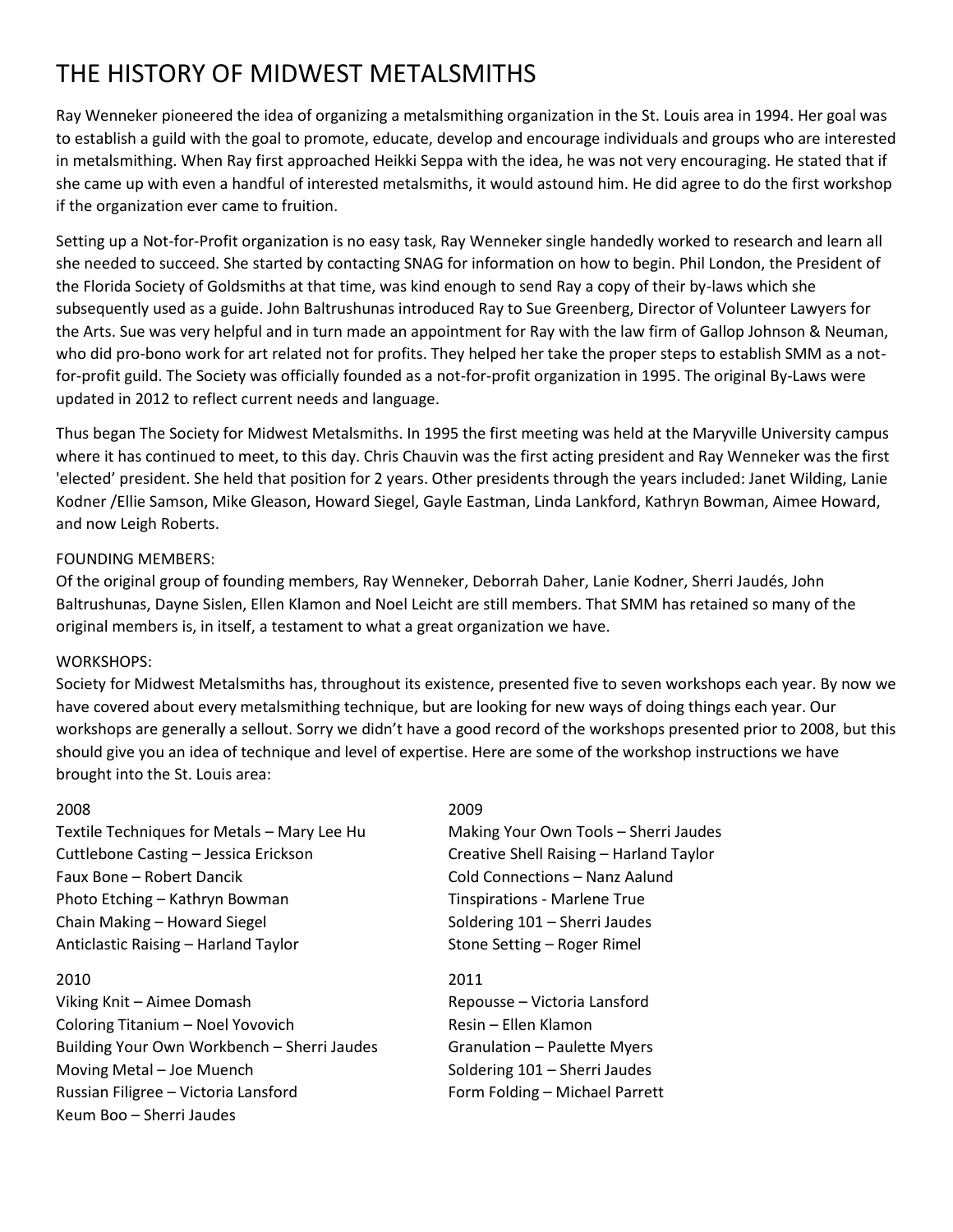## THE HISTORY OF MIDWEST METALSMITHS

Ray Wenneker pioneered the idea of organizing a metalsmithing organization in the St. Louis area in 1994. Her goal was to establish a guild with the goal to promote, educate, develop and encourage individuals and groups who are interested in metalsmithing. When Ray first approached Heikki Seppa with the idea, he was not very encouraging. He stated that if she came up with even a handful of interested metalsmiths, it would astound him. He did agree to do the first workshop if the organization ever came to fruition.

Setting up a Not-for-Profit organization is no easy task, Ray Wenneker single handedly worked to research and learn all she needed to succeed. She started by contacting SNAG for information on how to begin. Phil London, the President of the Florida Society of Goldsmiths at that time, was kind enough to send Ray a copy of their by-laws which she subsequently used as a guide. John Baltrushunas introduced Ray to Sue Greenberg, Director of Volunteer Lawyers for the Arts. Sue was very helpful and in turn made an appointment for Ray with the law firm of Gallop Johnson & Neuman, who did pro-bono work for art related not for profits. They helped her take the proper steps to establish SMM as a notfor-profit guild. The Society was officially founded as a not-for-profit organization in 1995. The original By-Laws were updated in 2012 to reflect current needs and language.

Thus began The Society for Midwest Metalsmiths. In 1995 the first meeting was held at the Maryville University campus where it has continued to meet, to this day. Chris Chauvin was the first acting president and Ray Wenneker was the first 'elected' president. She held that position for 2 years. Other presidents through the years included: Janet Wilding, Lanie Kodner /Ellie Samson, Mike Gleason, Howard Siegel, Gayle Eastman, Linda Lankford, Kathryn Bowman, Aimee Howard, and now Leigh Roberts.

## FOUNDING MEMBERS:

Of the original group of founding members, Ray Wenneker, Deborrah Daher, Lanie Kodner, Sherri Jaudés, John Baltrushunas, Dayne Sislen, Ellen Klamon and Noel Leicht are still members. That SMM has retained so many of the original members is, in itself, a testament to what a great organization we have.

## WORKSHOPS:

Society for Midwest Metalsmiths has, throughout its existence, presented five to seven workshops each year. By now we have covered about every metalsmithing technique, but are looking for new ways of doing things each year. Our workshops are generally a sellout. Sorry we didn't have a good record of the workshops presented prior to 2008, but this should give you an idea of technique and level of expertise. Here are some of the workshop instructions we have brought into the St. Louis area:

## 2008 2009

Textile Techniques for Metals – Mary Lee Hu Making Your Own Tools – Sherri Jaudes Cuttlebone Casting – Jessica Erickson Creative Shell Raising – Harland Taylor Faux Bone – Robert Dancik Cold Connections – Nanz Aalund Photo Etching – Kathryn Bowman Tinspirations - Marlene True Chain Making – Howard Siegel Soldering 101 – Sherri Jaudes Anticlastic Raising – Harland Taylor Stone Setting – Roger Rimel

## 2010 2011

Viking Knit – Aimee Domash Repousse – Victoria Lansford Coloring Titanium – Noel Yovovich Resin – Ellen Klamon Building Your Own Workbench – Sherri Jaudes Granulation – Paulette Myers Moving Metal – Joe Muench Soldering 101 – Sherri Jaudes Russian Filigree – Victoria Lansford Form Folding – Michael Parrett Keum Boo – Sherri Jaudes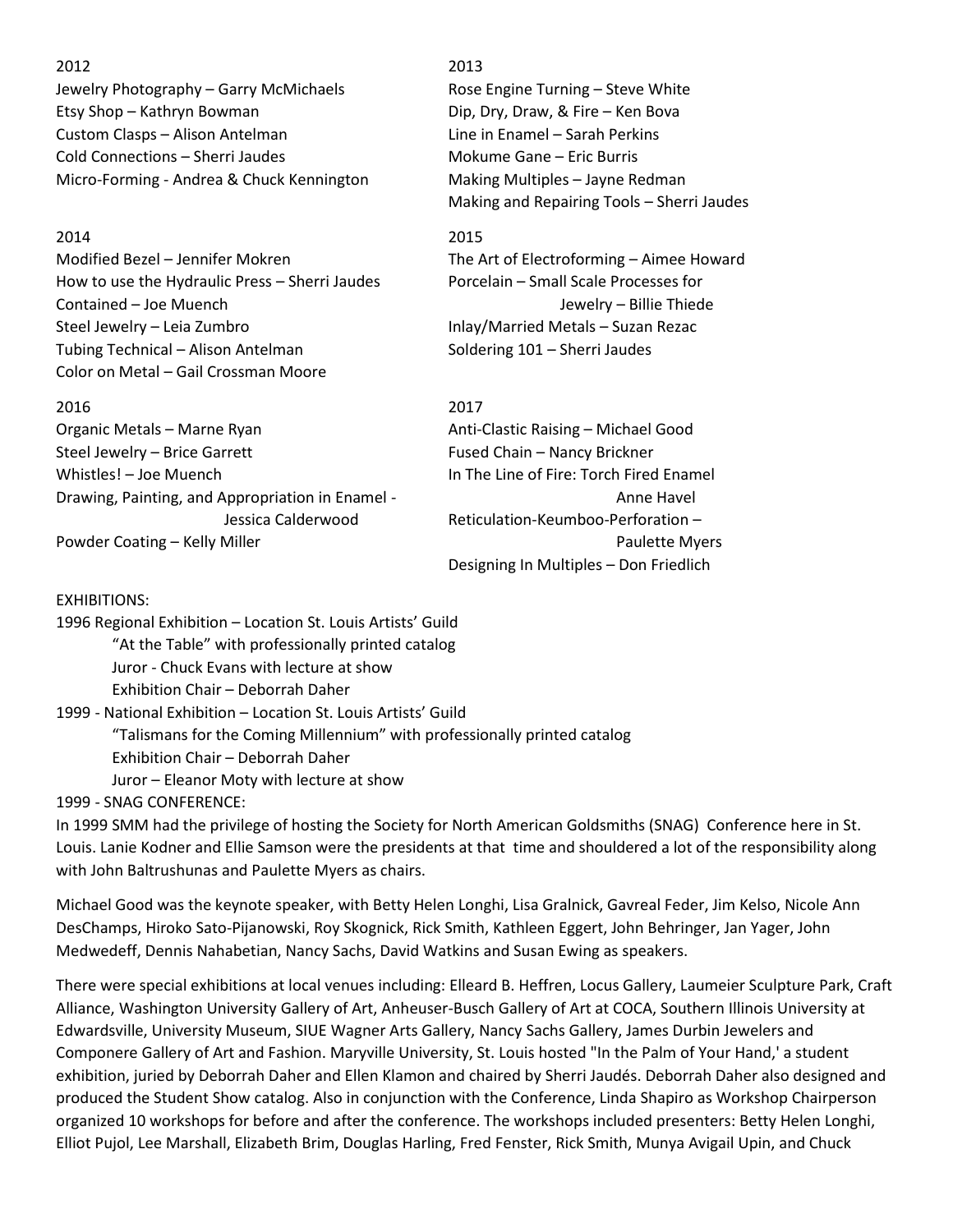Jewelry Photography – Garry McMichaels Rose Engine Turning – Steve White Etsy Shop – Kathryn Bowman Dip, Dry, Draw, & Fire – Ken Bova Custom Clasps – Alison Antelman Line in Enamel – Sarah Perkins Cold Connections – Sherri Jaudes Mokume Gane – Eric Burris Micro-Forming - Andrea & Chuck Kennington Making Multiples – Jayne Redman

2014 2015 Modified Bezel – Jennifer Mokren The Art of Electroforming – Aimee Howard How to use the Hydraulic Press – Sherri Jaudes Porcelain – Small Scale Processes for Contained – Joe Muench Jewelry – Billie Thiede Steel Jewelry – Leia Zumbro **Inlay/Married Metals – Suzan Rezac** Tubing Technical – Alison Antelman Soldering 101 – Sherri Jaudes Color on Metal – Gail Crossman Moore

# 2016 2017

Whistles! – Joe Muench In The Line of Fire: Torch Fired Enamel Drawing, Painting, and Appropriation in Enamel - Anne Havel Anne Havel Powder Coating – Kelly Miller **Paulette Myers** Paulette Myers

## 2012 2013

Making and Repairing Tools – Sherri Jaudes

Organic Metals – Marne Ryan Anti-Clastic Raising – Michael Good Steel Jewelry – Brice Garrett Fused Chain – Nancy Brickner Jessica Calderwood Reticulation-Keumboo-Perforation – Designing In Multiples – Don Friedlich

## EXHIBITIONS:

1996 Regional Exhibition – Location St. Louis Artists' Guild "At the Table" with professionally printed catalog Juror - Chuck Evans with lecture at show Exhibition Chair – Deborrah Daher

1999 - National Exhibition – Location St. Louis Artists' Guild "Talismans for the Coming Millennium" with professionally printed catalog Exhibition Chair – Deborrah Daher Juror – Eleanor Moty with lecture at show

1999 - SNAG CONFERENCE:

In 1999 SMM had the privilege of hosting the Society for North American Goldsmiths (SNAG) Conference here in St. Louis. Lanie Kodner and Ellie Samson were the presidents at that time and shouldered a lot of the responsibility along with John Baltrushunas and Paulette Myers as chairs.

Michael Good was the keynote speaker, with Betty Helen Longhi, Lisa Gralnick, Gavreal Feder, Jim Kelso, Nicole Ann DesChamps, Hiroko Sato-Pijanowski, Roy Skognick, Rick Smith, Kathleen Eggert, John Behringer, Jan Yager, John Medwedeff, Dennis Nahabetian, Nancy Sachs, David Watkins and Susan Ewing as speakers.

There were special exhibitions at local venues including: Elleard B. Heffren, Locus Gallery, Laumeier Sculpture Park, Craft Alliance, Washington University Gallery of Art, Anheuser-Busch Gallery of Art at COCA, Southern Illinois University at Edwardsville, University Museum, SIUE Wagner Arts Gallery, Nancy Sachs Gallery, James Durbin Jewelers and Componere Gallery of Art and Fashion. Maryville University, St. Louis hosted "In the Palm of Your Hand,' a student exhibition, juried by Deborrah Daher and Ellen Klamon and chaired by Sherri Jaudés. Deborrah Daher also designed and produced the Student Show catalog. Also in conjunction with the Conference, Linda Shapiro as Workshop Chairperson organized 10 workshops for before and after the conference. The workshops included presenters: Betty Helen Longhi, Elliot Pujol, Lee Marshall, Elizabeth Brim, Douglas Harling, Fred Fenster, Rick Smith, Munya Avigail Upin, and Chuck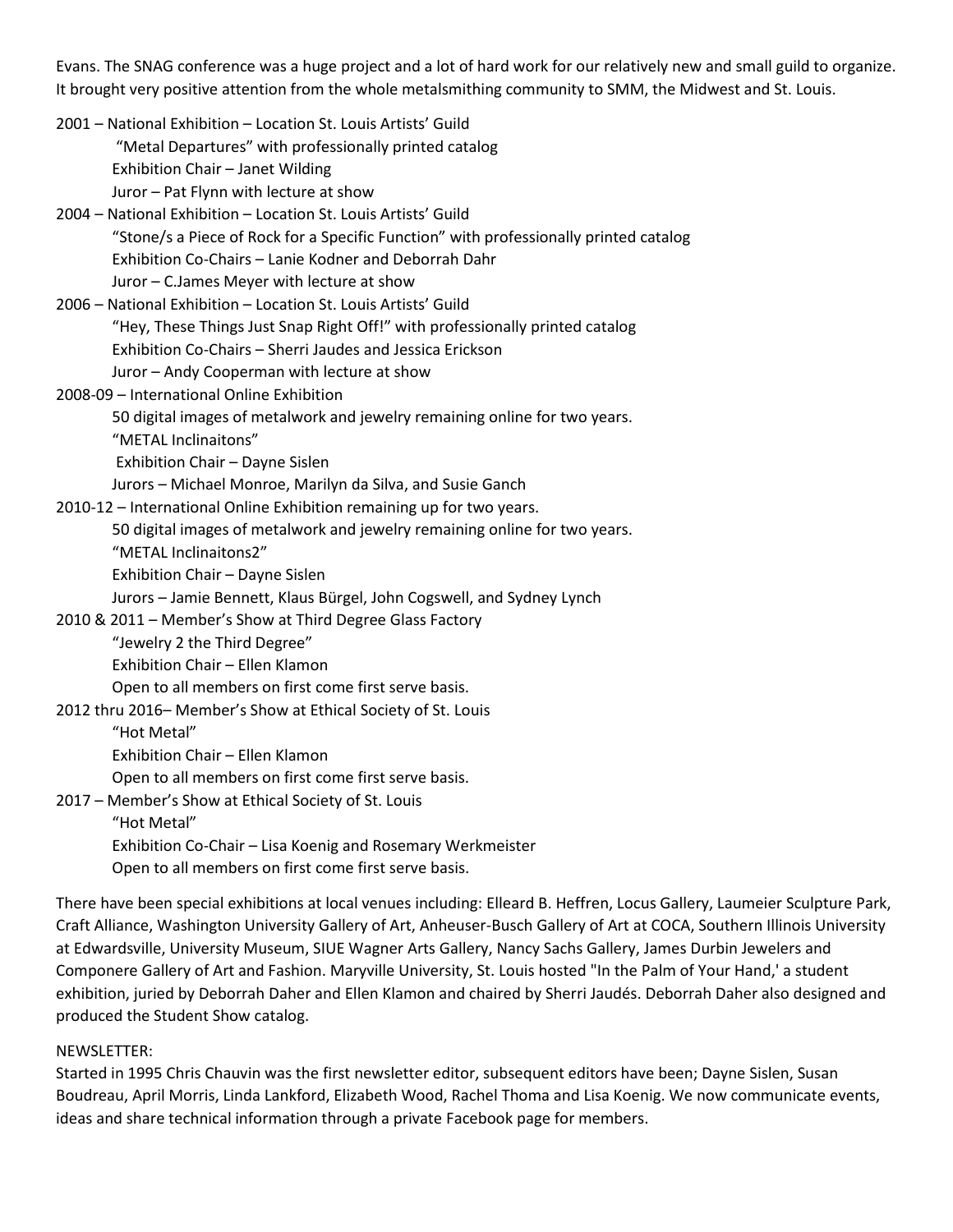Evans. The SNAG conference was a huge project and a lot of hard work for our relatively new and small guild to organize. It brought very positive attention from the whole metalsmithing community to SMM, the Midwest and St. Louis.

2001 – National Exhibition – Location St. Louis Artists' Guild "Metal Departures" with professionally printed catalog Exhibition Chair – Janet Wilding Juror – Pat Flynn with lecture at show 2004 – National Exhibition – Location St. Louis Artists' Guild "Stone/s a Piece of Rock for a Specific Function" with professionally printed catalog Exhibition Co-Chairs – Lanie Kodner and Deborrah Dahr Juror – C.James Meyer with lecture at show 2006 – National Exhibition – Location St. Louis Artists' Guild "Hey, These Things Just Snap Right Off!" with professionally printed catalog Exhibition Co-Chairs – Sherri Jaudes and Jessica Erickson Juror – Andy Cooperman with lecture at show 2008-09 – International Online Exhibition 50 digital images of metalwork and jewelry remaining online for two years. "METAL Inclinaitons" Exhibition Chair – Dayne Sislen Jurors – Michael Monroe, Marilyn da Silva, and Susie Ganch 2010-12 – International Online Exhibition remaining up for two years. 50 digital images of metalwork and jewelry remaining online for two years. "METAL Inclinaitons2" Exhibition Chair – Dayne Sislen Jurors – Jamie Bennett, Klaus Bürgel, John Cogswell, and Sydney Lynch 2010 & 2011 – Member's Show at Third Degree Glass Factory "Jewelry 2 the Third Degree" Exhibition Chair – Ellen Klamon Open to all members on first come first serve basis. 2012 thru 2016– Member's Show at Ethical Society of St. Louis "Hot Metal" Exhibition Chair – Ellen Klamon Open to all members on first come first serve basis.

2017 – Member's Show at Ethical Society of St. Louis "Hot Metal" Exhibition Co-Chair – Lisa Koenig and Rosemary Werkmeister Open to all members on first come first serve basis.

There have been special exhibitions at local venues including: Elleard B. Heffren, Locus Gallery, Laumeier Sculpture Park, Craft Alliance, Washington University Gallery of Art, Anheuser-Busch Gallery of Art at COCA, Southern Illinois University at Edwardsville, University Museum, SIUE Wagner Arts Gallery, Nancy Sachs Gallery, James Durbin Jewelers and Componere Gallery of Art and Fashion. Maryville University, St. Louis hosted "In the Palm of Your Hand,' a student exhibition, juried by Deborrah Daher and Ellen Klamon and chaired by Sherri Jaudés. Deborrah Daher also designed and produced the Student Show catalog.

## NEWSLETTER:

Started in 1995 Chris Chauvin was the first newsletter editor, subsequent editors have been; Dayne Sislen, Susan Boudreau, April Morris, Linda Lankford, Elizabeth Wood, Rachel Thoma and Lisa Koenig. We now communicate events, ideas and share technical information through a private Facebook page for members.